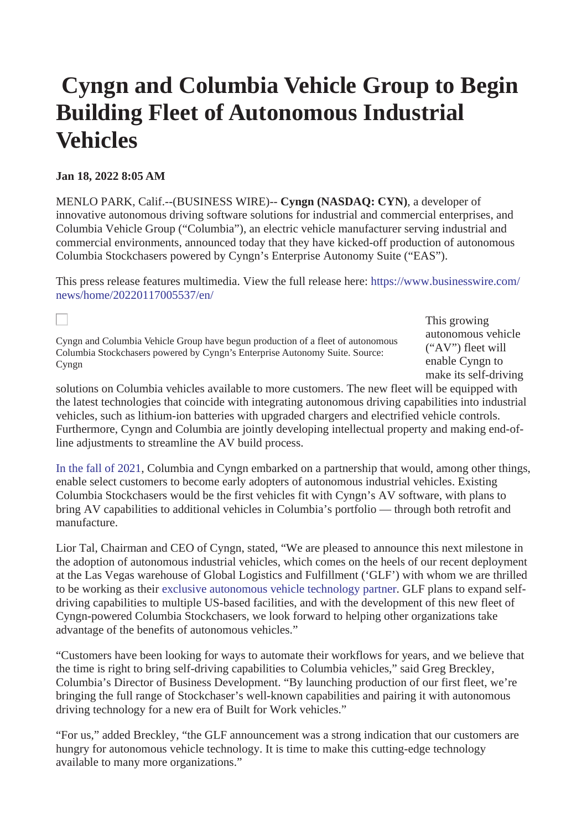# **Cyngn and Columbia Vehicle Group to Begin Building Fleet of Autonomous Industrial Vehicles**

## **Jan 18, 2022 8:05 AM**

 $\Box$ 

MENLO PARK, Calif.--(BUSINESS WIRE)-- **Cyngn (NASDAQ: CYN)**, a developer of innovative autonomous driving software solutions for industrial and commercial enterprises, and Columbia Vehicle Group ("Columbia"), an electric vehicle manufacturer serving industrial and commercial environments, announced today that they have kicked-off production of autonomous Columbia Stockchasers powered by Cyngn's Enterprise Autonomy Suite ("EAS").

This press release features multimedia. View the full release here: [https://www.businesswire.com/](https://www.businesswire.com/news/home/20220117005537/en/) [news/home/20220117005537/en/](https://www.businesswire.com/news/home/20220117005537/en/)

Cyngn and Columbia Vehicle Group have begun production of a fleet of autonomous Columbia Stockchasers powered by Cyngn's Enterprise Autonomy Suite. Source: Cyngn

This growing autonomous vehicle ("AV") fleet will enable Cyngn to make its self-driving

solutions on Columbia vehicles available to more customers. The new fleet will be equipped with the latest technologies that coincide with integrating autonomous driving capabilities into industrial vehicles, such as lithium-ion batteries with upgraded chargers and electrified vehicle controls. Furthermore, Cyngn and Columbia are jointly developing intellectual property and making end-ofline adjustments to streamline the AV build process.

[In the fall of 2021](https://cts.businesswire.com/ct/CT?id=smartlink&url=https%3A%2F%2Finvestors.cyngn.com%2Fnews-details%2F%3Fid%3D6e607e7e-5a30-4af1-b7f4-b8ea3b1893bf&esheet=52563886&newsitemid=20220117005537&lan=en-US&anchor=In+the+fall+of+2021&index=1&md5=78cb1aea95bc39efc43a84745384a8fe), Columbia and Cyngn embarked on a partnership that would, among other things, enable select customers to become early adopters of autonomous industrial vehicles. Existing Columbia Stockchasers would be the first vehicles fit with Cyngn's AV software, with plans to bring AV capabilities to additional vehicles in Columbia's portfolio — through both retrofit and manufacture.

Lior Tal, Chairman and CEO of Cyngn, stated, "We are pleased to announce this next milestone in the adoption of autonomous industrial vehicles, which comes on the heels of our recent deployment at the Las Vegas warehouse of Global Logistics and Fulfillment ('GLF') with whom we are thrilled to be working as their [exclusive autonomous vehicle technology partner](https://cts.businesswire.com/ct/CT?id=smartlink&url=https%3A%2F%2Fwww.cyngn.com%2Fblog%2Fpress-release%2Fglf-taps-cyngn-as-its-exclusive-industrial-autonomous-vehicle-partner&esheet=52563886&newsitemid=20220117005537&lan=en-US&anchor=exclusive+autonomous+vehicle+technology+partner&index=2&md5=5afa674a1b55f346088419242b87ab69). GLF plans to expand selfdriving capabilities to multiple US-based facilities, and with the development of this new fleet of Cyngn-powered Columbia Stockchasers, we look forward to helping other organizations take advantage of the benefits of autonomous vehicles."

"Customers have been looking for ways to automate their workflows for years, and we believe that the time is right to bring self-driving capabilities to Columbia vehicles," said Greg Breckley, Columbia's Director of Business Development. "By launching production of our first fleet, we're bringing the full range of Stockchaser's well-known capabilities and pairing it with autonomous driving technology for a new era of Built for Work vehicles."

"For us," added Breckley, "the GLF announcement was a strong indication that our customers are hungry for autonomous vehicle technology. It is time to make this cutting-edge technology available to many more organizations."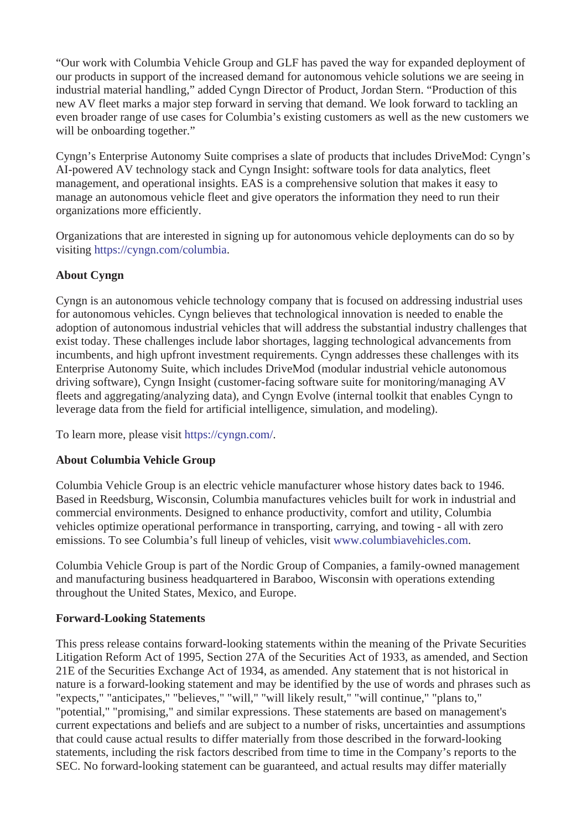"Our work with Columbia Vehicle Group and GLF has paved the way for expanded deployment of our products in support of the increased demand for autonomous vehicle solutions we are seeing in industrial material handling," added Cyngn Director of Product, Jordan Stern. "Production of this new AV fleet marks a major step forward in serving that demand. We look forward to tackling an even broader range of use cases for Columbia's existing customers as well as the new customers we will be onboarding together."

Cyngn's Enterprise Autonomy Suite comprises a slate of products that includes DriveMod: Cyngn's AI-powered AV technology stack and Cyngn Insight: software tools for data analytics, fleet management, and operational insights. EAS is a comprehensive solution that makes it easy to manage an autonomous vehicle fleet and give operators the information they need to run their organizations more efficiently.

Organizations that are interested in signing up for autonomous vehicle deployments can do so by visiting [https://cyngn.com/columbia](https://cts.businesswire.com/ct/CT?id=smartlink&url=https%3A%2F%2Fcyngn.com%2Fcolumbia&esheet=52563886&newsitemid=20220117005537&lan=en-US&anchor=https%3A%2F%2Fcyngn.com%2Fcolumbia&index=3&md5=ce5de0f984fea7cb1bd2abc1b413255d).

## **About Cyngn**

Cyngn is an autonomous vehicle technology company that is focused on addressing industrial uses for autonomous vehicles. Cyngn believes that technological innovation is needed to enable the adoption of autonomous industrial vehicles that will address the substantial industry challenges that exist today. These challenges include labor shortages, lagging technological advancements from incumbents, and high upfront investment requirements. Cyngn addresses these challenges with its Enterprise Autonomy Suite, which includes DriveMod (modular industrial vehicle autonomous driving software), Cyngn Insight (customer-facing software suite for monitoring/managing AV fleets and aggregating/analyzing data), and Cyngn Evolve (internal toolkit that enables Cyngn to leverage data from the field for artificial intelligence, simulation, and modeling).

To learn more, please visit [https://cyngn.com/.](https://cts.businesswire.com/ct/CT?id=smartlink&url=https%3A%2F%2Fcyngn.com%2F&esheet=52563886&newsitemid=20220117005537&lan=en-US&anchor=https%3A%2F%2Fcyngn.com%2F&index=4&md5=5a17ed607285705ae7a3ea808c1678da)

### **About Columbia Vehicle Group**

Columbia Vehicle Group is an electric vehicle manufacturer whose history dates back to 1946. Based in Reedsburg, Wisconsin, Columbia manufactures vehicles built for work in industrial and commercial environments. Designed to enhance productivity, comfort and utility, Columbia vehicles optimize operational performance in transporting, carrying, and towing - all with zero emissions. To see Columbia's full lineup of vehicles, visit [www.columbiavehicles.com.](https://cts.businesswire.com/ct/CT?id=smartlink&url=http%3A%2F%2Fwww.columbiavehicles.com&esheet=52563886&newsitemid=20220117005537&lan=en-US&anchor=www.columbiavehicles.com&index=5&md5=1051b240385effa72cdae26a2d7c1fd6)

Columbia Vehicle Group is part of the Nordic Group of Companies, a family-owned management and manufacturing business headquartered in Baraboo, Wisconsin with operations extending throughout the United States, Mexico, and Europe.

### **Forward-Looking Statements**

This press release contains forward-looking statements within the meaning of the Private Securities Litigation Reform Act of 1995, Section 27A of the Securities Act of 1933, as amended, and Section 21E of the Securities Exchange Act of 1934, as amended. Any statement that is not historical in nature is a forward-looking statement and may be identified by the use of words and phrases such as "expects," "anticipates," "believes," "will," "will likely result," "will continue," "plans to," "potential," "promising," and similar expressions. These statements are based on management's current expectations and beliefs and are subject to a number of risks, uncertainties and assumptions that could cause actual results to differ materially from those described in the forward-looking statements, including the risk factors described from time to time in the Company's reports to the SEC. No forward-looking statement can be guaranteed, and actual results may differ materially